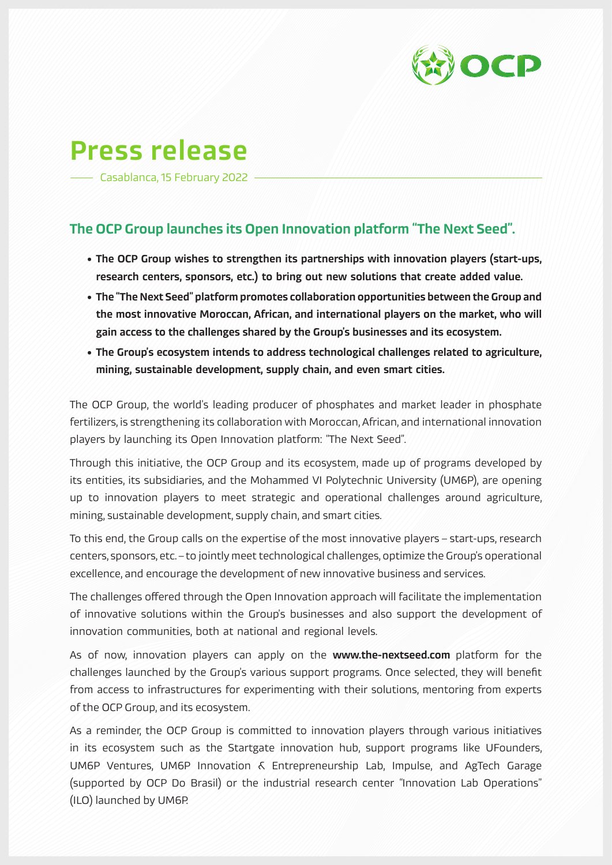

## Press release

Casablanca, 15 February 2022

## The OCP Group launches its Open Innovation platform "The Next Seed".

- The OCP Group wishes to strengthen its partnerships with innovation players (start-ups, research centers, sponsors, etc.) to bring out new solutions that create added value.
- The "The Next Seed" platform promotes collaboration opportunities between the Group and the most innovative Moroccan, African, and international players on the market, who will gain access to the challenges shared by the Group's businesses and its ecosystem.
- The Group's ecosystem intends to address technological challenges related to agriculture, mining, sustainable development, supply chain, and even smart cities.

The OCP Group, the world's leading producer of phosphates and market leader in phosphate fertilizers, is strengthening its collaboration with Moroccan, African, and international innovation players by launching its Open Innovation platform: "The Next Seed".

Through this initiative, the OCP Group and its ecosystem, made up of programs developed by its entities, its subsidiaries, and the Mohammed VI Polytechnic University (UM6P), are opening up to innovation players to meet strategic and operational challenges around agriculture, mining, sustainable development, supply chain, and smart cities.

To this end, the Group calls on the expertise of the most innovative players – start-ups, research centers, sponsors, etc. – to jointly meet technological challenges, optimize the Group's operational excellence, and encourage the development of new innovative business and services.

The challenges offered through the Open Innovation approach will facilitate the implementation of innovative solutions within the Group's businesses and also support the development of innovation communities, both at national and regional levels.

As of now, innovation players can apply on the www.the-nextseed.com platform for the challenges launched by the Group's various support programs. Once selected, they will benefit from access to infrastructures for experimenting with their solutions, mentoring from experts of the OCP Group, and its ecosystem.

As a reminder, the OCP Group is committed to innovation players through various initiatives in its ecosystem such as the Startgate innovation hub, support programs like UFounders, UM6P Ventures, UM6P Innovation & Entrepreneurship Lab, Impulse, and AgTech Garage (supported by OCP Do Brasil) or the industrial research center "Innovation Lab Operations" (ILO) launched by UM6P.